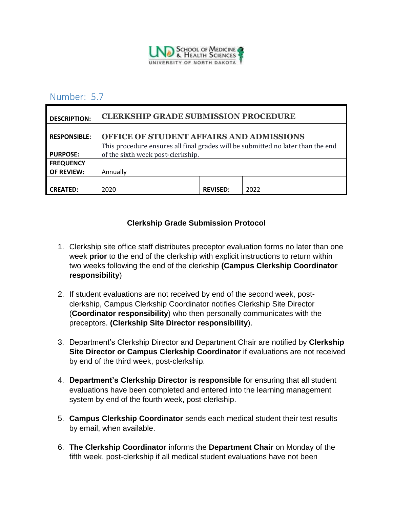

## Number: 5.7

| <b>DESCRIPTION:</b> | <b>CLERKSHIP GRADE SUBMISSION PROCEDURE</b>                                                                          |                 |      |
|---------------------|----------------------------------------------------------------------------------------------------------------------|-----------------|------|
| <b>RESPONSIBLE:</b> | OFFICE OF STUDENT AFFAIRS AND ADMISSIONS                                                                             |                 |      |
| <b>PURPOSE:</b>     | This procedure ensures all final grades will be submitted no later than the end<br>of the sixth week post-clerkship. |                 |      |
| <b>FREQUENCY</b>    |                                                                                                                      |                 |      |
| <b>OF REVIEW:</b>   | Annually                                                                                                             |                 |      |
| <b>CREATED:</b>     | 2020                                                                                                                 | <b>REVISED:</b> | 2022 |

## **Clerkship Grade Submission Protocol**

- 1. Clerkship site office staff distributes preceptor evaluation forms no later than one week **prior** to the end of the clerkship with explicit instructions to return within two weeks following the end of the clerkship **(Campus Clerkship Coordinator responsibility**)
- 2. If student evaluations are not received by end of the second week, postclerkship, Campus Clerkship Coordinator notifies Clerkship Site Director (**Coordinator responsibility**) who then personally communicates with the preceptors. **(Clerkship Site Director responsibility**).
- 3. Department's Clerkship Director and Department Chair are notified by **Clerkship Site Director or Campus Clerkship Coordinator** if evaluations are not received by end of the third week, post-clerkship.
- 4. **Department's Clerkship Director is responsible** for ensuring that all student evaluations have been completed and entered into the learning management system by end of the fourth week, post-clerkship.
- 5. **Campus Clerkship Coordinator** sends each medical student their test results by email, when available.
- 6. **The Clerkship Coordinator** informs the **Department Chair** on Monday of the fifth week, post-clerkship if all medical student evaluations have not been